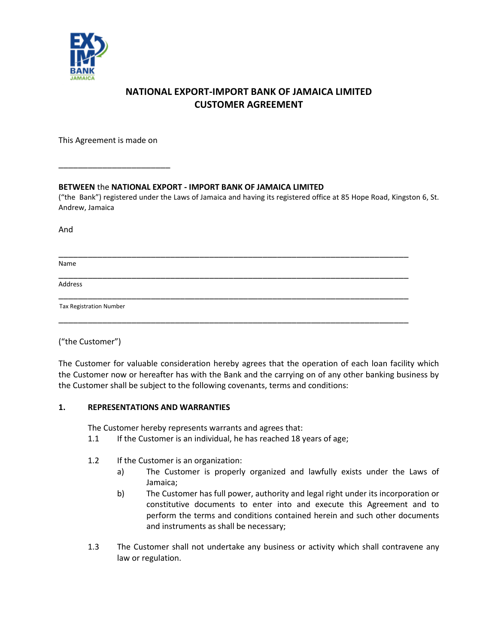

# **NATIONAL EXPORT-IMPORT BANK OF JAMAICA LIMITED CUSTOMER AGREEMENT**

This Agreement is made on

\_\_\_\_\_\_\_\_\_\_\_\_\_\_\_\_\_\_\_\_\_\_\_

**BETWEEN** the **NATIONAL EXPORT - IMPORT BANK OF JAMAICA LIMITED**

("the Bank") registered under the Laws of Jamaica and having its registered office at 85 Hope Road, Kingston 6, St. Andrew, Jamaica

And

Name \_\_\_\_\_\_\_\_\_\_\_\_\_\_\_\_\_\_\_\_\_\_\_\_\_\_\_\_\_\_\_\_\_\_\_\_\_\_\_\_\_\_\_\_\_\_\_\_\_\_\_\_\_\_\_\_\_\_\_\_\_\_\_\_\_\_\_\_\_\_\_\_ Address \_\_\_\_\_\_\_\_\_\_\_\_\_\_\_\_\_\_\_\_\_\_\_\_\_\_\_\_\_\_\_\_\_\_\_\_\_\_\_\_\_\_\_\_\_\_\_\_\_\_\_\_\_\_\_\_\_\_\_\_\_\_\_\_\_\_\_\_\_\_\_\_ \_\_\_\_\_\_\_\_\_\_\_\_\_\_\_\_\_\_\_\_\_\_\_\_\_\_\_\_\_\_\_\_\_\_\_\_\_\_\_\_\_\_\_\_\_\_\_\_\_\_\_\_\_\_\_\_\_\_\_\_\_\_\_\_\_\_\_\_\_\_\_\_ Tax Registration Number

\_\_\_\_\_\_\_\_\_\_\_\_\_\_\_\_\_\_\_\_\_\_\_\_\_\_\_\_\_\_\_\_\_\_\_\_\_\_\_\_\_\_\_\_\_\_\_\_\_\_\_\_\_\_\_\_\_\_\_\_\_\_\_\_\_\_\_\_\_\_\_\_

("the Customer")

The Customer for valuable consideration hereby agrees that the operation of each loan facility which the Customer now or hereafter has with the Bank and the carrying on of any other banking business by the Customer shall be subject to the following covenants, terms and conditions:

# **1. REPRESENTATIONS AND WARRANTIES**

The Customer hereby represents warrants and agrees that:

- 1.1 If the Customer is an individual, he has reached 18 years of age;
- 1.2 If the Customer is an organization:
	- a) The Customer is properly organized and lawfully exists under the Laws of Jamaica;
	- b) The Customer has full power, authority and legal right under its incorporation or constitutive documents to enter into and execute this Agreement and to perform the terms and conditions contained herein and such other documents and instruments as shall be necessary;
- 1.3 The Customer shall not undertake any business or activity which shall contravene any law or regulation.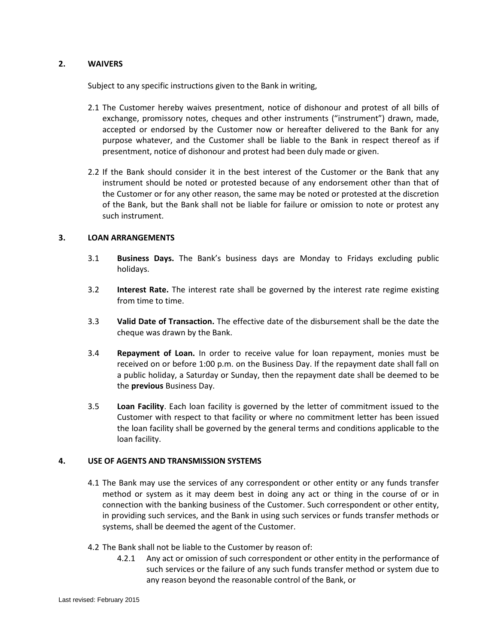# **2. WAIVERS**

Subject to any specific instructions given to the Bank in writing,

- 2.1 The Customer hereby waives presentment, notice of dishonour and protest of all bills of exchange, promissory notes, cheques and other instruments ("instrument") drawn, made, accepted or endorsed by the Customer now or hereafter delivered to the Bank for any purpose whatever, and the Customer shall be liable to the Bank in respect thereof as if presentment, notice of dishonour and protest had been duly made or given.
- 2.2 If the Bank should consider it in the best interest of the Customer or the Bank that any instrument should be noted or protested because of any endorsement other than that of the Customer or for any other reason, the same may be noted or protested at the discretion of the Bank, but the Bank shall not be liable for failure or omission to note or protest any such instrument.

### **3. LOAN ARRANGEMENTS**

- 3.1 **Business Days.** The Bank's business days are Monday to Fridays excluding public holidays.
- 3.2 **Interest Rate.** The interest rate shall be governed by the interest rate regime existing from time to time.
- 3.3 **Valid Date of Transaction.** The effective date of the disbursement shall be the date the cheque was drawn by the Bank.
- 3.4 **Repayment of Loan.** In order to receive value for loan repayment, monies must be received on or before 1:00 p.m. on the Business Day. If the repayment date shall fall on a public holiday, a Saturday or Sunday, then the repayment date shall be deemed to be the **previous** Business Day.
- 3.5 **Loan Facility**. Each loan facility is governed by the letter of commitment issued to the Customer with respect to that facility or where no commitment letter has been issued the loan facility shall be governed by the general terms and conditions applicable to the loan facility.

#### **4. USE OF AGENTS AND TRANSMISSION SYSTEMS**

- 4.1 The Bank may use the services of any correspondent or other entity or any funds transfer method or system as it may deem best in doing any act or thing in the course of or in connection with the banking business of the Customer. Such correspondent or other entity, in providing such services, and the Bank in using such services or funds transfer methods or systems, shall be deemed the agent of the Customer.
- 4.2 The Bank shall not be liable to the Customer by reason of:
	- 4.2.1 Any act or omission of such correspondent or other entity in the performance of such services or the failure of any such funds transfer method or system due to any reason beyond the reasonable control of the Bank, or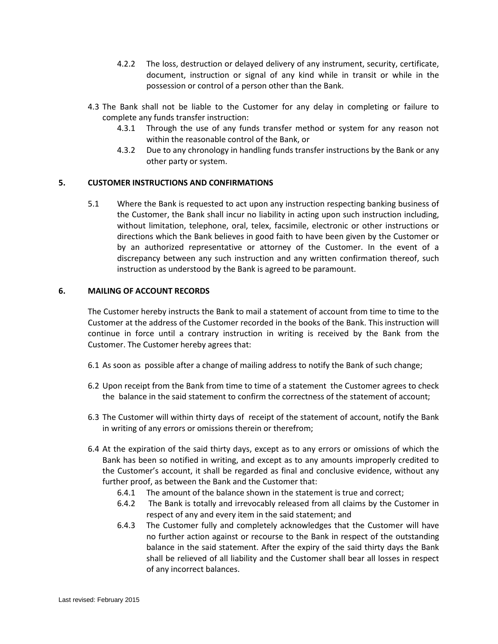- 4.2.2 The loss, destruction or delayed delivery of any instrument, security, certificate, document, instruction or signal of any kind while in transit or while in the possession or control of a person other than the Bank.
- 4.3 The Bank shall not be liable to the Customer for any delay in completing or failure to complete any funds transfer instruction:
	- 4.3.1 Through the use of any funds transfer method or system for any reason not within the reasonable control of the Bank, or
	- 4.3.2 Due to any chronology in handling funds transfer instructions by the Bank or any other party or system.

# **5. CUSTOMER INSTRUCTIONS AND CONFIRMATIONS**

5.1 Where the Bank is requested to act upon any instruction respecting banking business of the Customer, the Bank shall incur no liability in acting upon such instruction including, without limitation, telephone, oral, telex, facsimile, electronic or other instructions or directions which the Bank believes in good faith to have been given by the Customer or by an authorized representative or attorney of the Customer. In the event of a discrepancy between any such instruction and any written confirmation thereof, such instruction as understood by the Bank is agreed to be paramount.

### **6. MAILING OF ACCOUNT RECORDS**

The Customer hereby instructs the Bank to mail a statement of account from time to time to the Customer at the address of the Customer recorded in the books of the Bank. This instruction will continue in force until a contrary instruction in writing is received by the Bank from the Customer. The Customer hereby agrees that:

- 6.1 As soon as possible after a change of mailing address to notify the Bank of such change;
- 6.2 Upon receipt from the Bank from time to time of a statement the Customer agrees to check the balance in the said statement to confirm the correctness of the statement of account;
- 6.3 The Customer will within thirty days of receipt of the statement of account, notify the Bank in writing of any errors or omissions therein or therefrom;
- 6.4 At the expiration of the said thirty days, except as to any errors or omissions of which the Bank has been so notified in writing, and except as to any amounts improperly credited to the Customer's account, it shall be regarded as final and conclusive evidence, without any further proof, as between the Bank and the Customer that:
	- 6.4.1 The amount of the balance shown in the statement is true and correct;
	- 6.4.2 The Bank is totally and irrevocably released from all claims by the Customer in respect of any and every item in the said statement; and
	- 6.4.3 The Customer fully and completely acknowledges that the Customer will have no further action against or recourse to the Bank in respect of the outstanding balance in the said statement. After the expiry of the said thirty days the Bank shall be relieved of all liability and the Customer shall bear all losses in respect of any incorrect balances.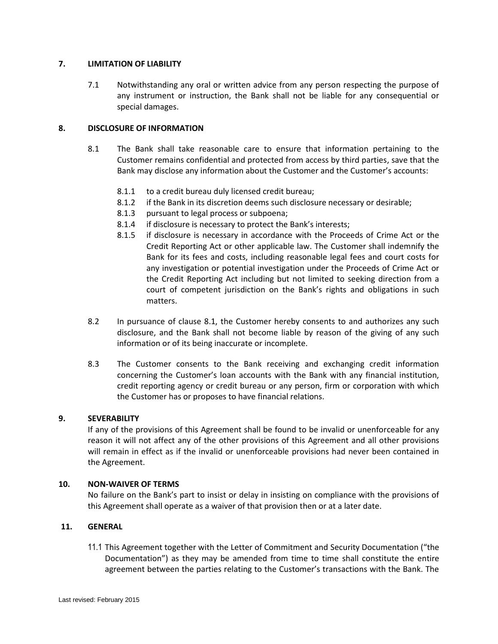## **7. LIMITATION OF LIABILITY**

7.1 Notwithstanding any oral or written advice from any person respecting the purpose of any instrument or instruction, the Bank shall not be liable for any consequential or special damages.

## **8. DISCLOSURE OF INFORMATION**

- 8.1 The Bank shall take reasonable care to ensure that information pertaining to the Customer remains confidential and protected from access by third parties, save that the Bank may disclose any information about the Customer and the Customer's accounts:
	- 8.1.1 to a credit bureau duly licensed credit bureau;
	- 8.1.2 if the Bank in its discretion deems such disclosure necessary or desirable;
	- 8.1.3 pursuant to legal process or subpoena;
	- 8.1.4 if disclosure is necessary to protect the Bank's interests;
	- 8.1.5 if disclosure is necessary in accordance with the Proceeds of Crime Act or the Credit Reporting Act or other applicable law. The Customer shall indemnify the Bank for its fees and costs, including reasonable legal fees and court costs for any investigation or potential investigation under the Proceeds of Crime Act or the Credit Reporting Act including but not limited to seeking direction from a court of competent jurisdiction on the Bank's rights and obligations in such matters.
- 8.2 In pursuance of clause 8.1, the Customer hereby consents to and authorizes any such disclosure, and the Bank shall not become liable by reason of the giving of any such information or of its being inaccurate or incomplete.
- 8.3 The Customer consents to the Bank receiving and exchanging credit information concerning the Customer's loan accounts with the Bank with any financial institution, credit reporting agency or credit bureau or any person, firm or corporation with which the Customer has or proposes to have financial relations.

#### **9. SEVERABILITY**

If any of the provisions of this Agreement shall be found to be invalid or unenforceable for any reason it will not affect any of the other provisions of this Agreement and all other provisions will remain in effect as if the invalid or unenforceable provisions had never been contained in the Agreement.

#### **10. NON-WAIVER OF TERMS**

No failure on the Bank's part to insist or delay in insisting on compliance with the provisions of this Agreement shall operate as a waiver of that provision then or at a later date.

#### **11. GENERAL**

11.1 This Agreement together with the Letter of Commitment and Security Documentation ("the Documentation") as they may be amended from time to time shall constitute the entire agreement between the parties relating to the Customer's transactions with the Bank. The